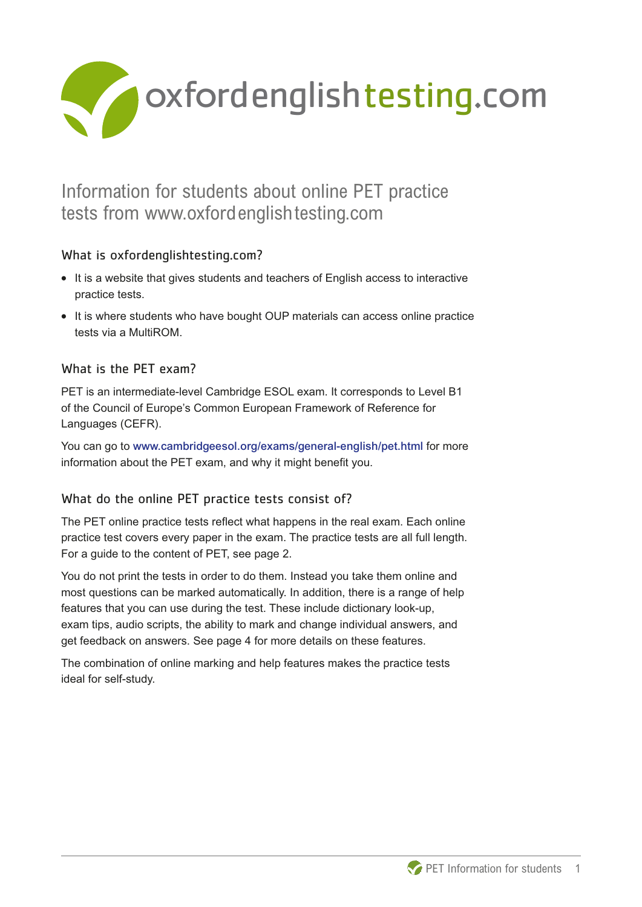

# Information for students about online PET practice tests from www.oxfordenglishtesting.com

## What is oxfordenglishtesting.com?

- **What is oxfordenglishtesting.com?**<br>• It is a website that gives students and teachers of English access to interactive practice tests.
- **•** It is where students who have bought OUP materials can access online practice tests via a MultiROM.

## What is the PET exam?

PET is an intermediate-level Cambridge ESOL exam. It corresponds to Level B1 of the Council of Europe's Common European Framework of Reference for Languages (CEFR).

You can go to www.cambridgeesol.org/exams/general-english/pet.html for more information about the PET exam, and why it might benefit you.

## What do the online PET practice tests consist of?

The PET online practice tests reflect what happens in the real exam. Each online practice test covers every paper in the exam. The practice tests are all full length. For a guide to the content of PET, see page 2.

You do not print the tests in order to do them. Instead you take them online and most questions can be marked automatically. In addition, there is a range of help features that you can use during the test. These include dictionary look-up, exam tips, audio scripts, the ability to mark and change individual answers, and get feedback on answers. See page 4 for more details on these features.

The combination of online marking and help features makes the practice tests ideal for self-study.

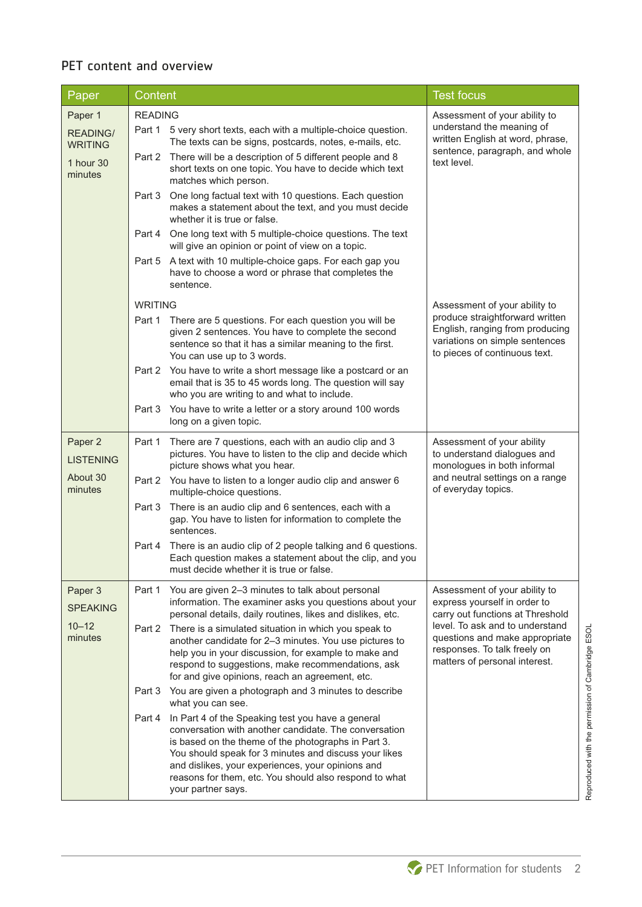## PET content and overview

| Paper                             | Content                                                                                                                                                                                                                                                                                                                                                                   | <b>Test focus</b>                                                                                                                     |  |
|-----------------------------------|---------------------------------------------------------------------------------------------------------------------------------------------------------------------------------------------------------------------------------------------------------------------------------------------------------------------------------------------------------------------------|---------------------------------------------------------------------------------------------------------------------------------------|--|
| Paper 1                           | <b>READING</b>                                                                                                                                                                                                                                                                                                                                                            | Assessment of your ability to                                                                                                         |  |
| <b>READING/</b><br><b>WRITING</b> | Part 1 5 very short texts, each with a multiple-choice question.<br>The texts can be signs, postcards, notes, e-mails, etc.                                                                                                                                                                                                                                               | understand the meaning of<br>written English at word, phrase,<br>sentence, paragraph, and whole<br>text level.                        |  |
| 1 hour 30<br>minutes              | There will be a description of 5 different people and 8<br>Part 2<br>short texts on one topic. You have to decide which text<br>matches which person.                                                                                                                                                                                                                     |                                                                                                                                       |  |
|                                   | One long factual text with 10 questions. Each question<br>Part 3<br>makes a statement about the text, and you must decide<br>whether it is true or false.                                                                                                                                                                                                                 |                                                                                                                                       |  |
|                                   | One long text with 5 multiple-choice questions. The text<br>Part 4<br>will give an opinion or point of view on a topic.                                                                                                                                                                                                                                                   |                                                                                                                                       |  |
|                                   | A text with 10 multiple-choice gaps. For each gap you<br>Part 5<br>have to choose a word or phrase that completes the<br>sentence.                                                                                                                                                                                                                                        |                                                                                                                                       |  |
|                                   | <b>WRITING</b>                                                                                                                                                                                                                                                                                                                                                            | Assessment of your ability to                                                                                                         |  |
|                                   | There are 5 questions. For each question you will be<br>Part 1<br>given 2 sentences. You have to complete the second<br>sentence so that it has a similar meaning to the first.<br>You can use up to 3 words.                                                                                                                                                             | produce straightforward written<br>English, ranging from producing<br>variations on simple sentences<br>to pieces of continuous text. |  |
|                                   | You have to write a short message like a postcard or an<br>Part 2<br>email that is 35 to 45 words long. The question will say<br>who you are writing to and what to include.                                                                                                                                                                                              |                                                                                                                                       |  |
|                                   | You have to write a letter or a story around 100 words<br>Part 3<br>long on a given topic.                                                                                                                                                                                                                                                                                |                                                                                                                                       |  |
| Paper 2<br><b>LISTENING</b>       | There are 7 questions, each with an audio clip and 3<br>Part 1<br>pictures. You have to listen to the clip and decide which<br>picture shows what you hear.                                                                                                                                                                                                               | Assessment of your ability<br>to understand dialogues and<br>monologues in both informal                                              |  |
| About 30<br>minutes               | You have to listen to a longer audio clip and answer 6<br>Part 2<br>multiple-choice questions.                                                                                                                                                                                                                                                                            | and neutral settings on a range<br>of everyday topics.                                                                                |  |
|                                   | There is an audio clip and 6 sentences, each with a<br>Part 3<br>gap. You have to listen for information to complete the<br>sentences.                                                                                                                                                                                                                                    |                                                                                                                                       |  |
|                                   | There is an audio clip of 2 people talking and 6 questions.<br>Part 4<br>Each question makes a statement about the clip, and you<br>must decide whether it is true or false.                                                                                                                                                                                              |                                                                                                                                       |  |
| Paper 3<br><b>SPEAKING</b>        | Part 1<br>You are given 2-3 minutes to talk about personal<br>information. The examiner asks you questions about your<br>personal details, daily routines, likes and dislikes, etc.                                                                                                                                                                                       | Assessment of your ability to<br>express yourself in order to<br>carry out functions at Threshold                                     |  |
| $10 - 12$<br>minutes              | There is a simulated situation in which you speak to<br>Part 2<br>another candidate for 2-3 minutes. You use pictures to<br>help you in your discussion, for example to make and<br>respond to suggestions, make recommendations, ask<br>for and give opinions, reach an agreement, etc.                                                                                  | level. To ask and to understand<br>questions and make appropriate<br>responses. To talk freely on<br>matters of personal interest.    |  |
|                                   | You are given a photograph and 3 minutes to describe<br>Part 3<br>what you can see.                                                                                                                                                                                                                                                                                       |                                                                                                                                       |  |
|                                   | Part 4<br>In Part 4 of the Speaking test you have a general<br>conversation with another candidate. The conversation<br>is based on the theme of the photographs in Part 3.<br>You should speak for 3 minutes and discuss your likes<br>and dislikes, your experiences, your opinions and<br>reasons for them, etc. You should also respond to what<br>your partner says. |                                                                                                                                       |  |

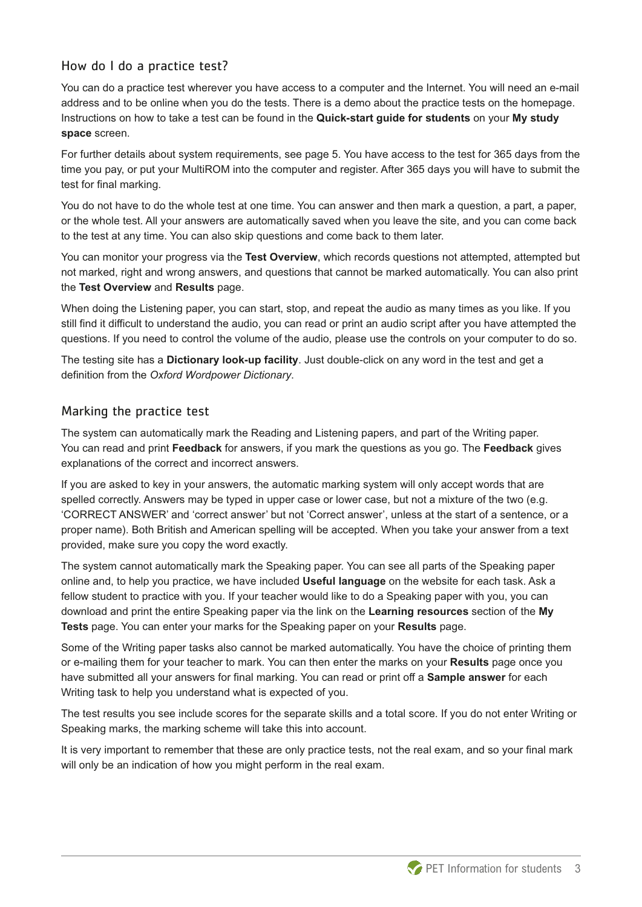#### How do I do a practice test?

You can do a practice test wherever you have access to a computer and the Internet. You will need an e-mail address and to be online when you do the tests. There is a demo about the practice tests on the homepage. Instructions on how to take a test can be found in the **Quick-start guide for students** on your **My study space** screen.

For further details about system requirements, see page 5. You have access to the test for 365 days from the time you pay, or put your MultiROM into the computer and register. After 365 days you will have to submit the test for final marking.

You do not have to do the whole test at one time. You can answer and then mark a question, a part, a paper, or the whole test. All your answers are automatically saved when you leave the site, and you can come back to the test at any time. You can also skip questions and come back to them later.

You can monitor your progress via the **Test Overview**, which records questions not attempted, attempted but not marked, right and wrong answers, and questions that cannot be marked automatically. You can also print the **Test Overview** and **Results** page.

When doing the Listening paper, you can start, stop, and repeat the audio as many times as you like. If you still find it difficult to understand the audio, you can read or print an audio script after you have attempted the questions. If you need to control the volume of the audio, please use the controls on your computer to do so.

The testing site has a **Dictionary look-up facility**. Just double-click on any word in the test and get a definition from the *Oxford Wordpower Dictionary*.

#### Marking the practice test

The system can automatically mark the Reading and Listening papers, and part of the Writing paper. You can read and print **Feedback** for answers, if you mark the questions as you go. The **Feedback** gives explanations of the correct and incorrect answers.

If you are asked to key in your answers, the automatic marking system will only accept words that are spelled correctly. Answers may be typed in upper case or lower case, but not a mixture of the two (e.g. 'CORRECT ANSWER' and 'correct answer' but not 'Correct answer', unless at the start of a sentence, or a proper name). Both British and American spelling will be accepted. When you take your answer from a text provided, make sure you copy the word exactly.

The system cannot automatically mark the Speaking paper. You can see all parts of the Speaking paper online and, to help you practice, we have included **Useful language** on the website for each task. Ask a fellow student to practice with you. If your teacher would like to do a Speaking paper with you, you can download and print the entire Speaking paper via the link on the **Learning resources** section of the **My Tests** page. You can enter your marks for the Speaking paper on your **Results** page.

Some of the Writing paper tasks also cannot be marked automatically. You have the choice of printing them or e-mailing them for your teacher to mark. You can then enter the marks on your **Results** page once you have submitted all your answers for final marking. You can read or print off a **Sample answer** for each Writing task to help you understand what is expected of you.

The test results you see include scores for the separate skills and a total score. If you do not enter Writing or Speaking marks, the marking scheme will take this into account.

It is very important to remember that these are only practice tests, not the real exam, and so your final mark will only be an indication of how you might perform in the real exam.

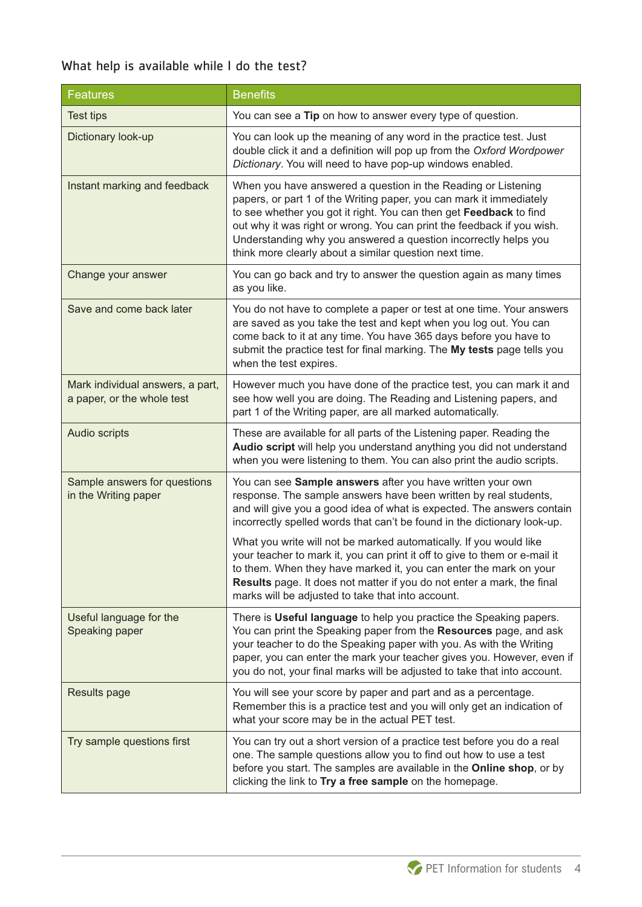## What help is available while I do the test?

| <b>Features</b>                                                | <b>Benefits</b>                                                                                                                                                                                                                                                                                                                                                                                                   |  |
|----------------------------------------------------------------|-------------------------------------------------------------------------------------------------------------------------------------------------------------------------------------------------------------------------------------------------------------------------------------------------------------------------------------------------------------------------------------------------------------------|--|
| <b>Test tips</b>                                               | You can see a Tip on how to answer every type of question.                                                                                                                                                                                                                                                                                                                                                        |  |
| Dictionary look-up                                             | You can look up the meaning of any word in the practice test. Just<br>double click it and a definition will pop up from the Oxford Wordpower<br>Dictionary. You will need to have pop-up windows enabled.                                                                                                                                                                                                         |  |
| Instant marking and feedback                                   | When you have answered a question in the Reading or Listening<br>papers, or part 1 of the Writing paper, you can mark it immediately<br>to see whether you got it right. You can then get Feedback to find<br>out why it was right or wrong. You can print the feedback if you wish.<br>Understanding why you answered a question incorrectly helps you<br>think more clearly about a similar question next time. |  |
| Change your answer                                             | You can go back and try to answer the question again as many times<br>as you like.                                                                                                                                                                                                                                                                                                                                |  |
| Save and come back later                                       | You do not have to complete a paper or test at one time. Your answers<br>are saved as you take the test and kept when you log out. You can<br>come back to it at any time. You have 365 days before you have to<br>submit the practice test for final marking. The My tests page tells you<br>when the test expires.                                                                                              |  |
| Mark individual answers, a part,<br>a paper, or the whole test | However much you have done of the practice test, you can mark it and<br>see how well you are doing. The Reading and Listening papers, and<br>part 1 of the Writing paper, are all marked automatically.                                                                                                                                                                                                           |  |
| Audio scripts                                                  | These are available for all parts of the Listening paper. Reading the<br>Audio script will help you understand anything you did not understand<br>when you were listening to them. You can also print the audio scripts.                                                                                                                                                                                          |  |
| Sample answers for questions<br>in the Writing paper           | You can see Sample answers after you have written your own<br>response. The sample answers have been written by real students,<br>and will give you a good idea of what is expected. The answers contain<br>incorrectly spelled words that can't be found in the dictionary look-up.<br>What you write will not be marked automatically. If you would like                                                        |  |
|                                                                | your teacher to mark it, you can print it off to give to them or e-mail it<br>to them. When they have marked it, you can enter the mark on your<br>Results page. It does not matter if you do not enter a mark, the final<br>marks will be adjusted to take that into account.                                                                                                                                    |  |
| Useful language for the<br>Speaking paper                      | There is Useful language to help you practice the Speaking papers.<br>You can print the Speaking paper from the Resources page, and ask<br>your teacher to do the Speaking paper with you. As with the Writing<br>paper, you can enter the mark your teacher gives you. However, even if<br>you do not, your final marks will be adjusted to take that into account.                                              |  |
| Results page                                                   | You will see your score by paper and part and as a percentage.<br>Remember this is a practice test and you will only get an indication of<br>what your score may be in the actual PET test.                                                                                                                                                                                                                       |  |
| Try sample questions first                                     | You can try out a short version of a practice test before you do a real<br>one. The sample questions allow you to find out how to use a test<br>before you start. The samples are available in the Online shop, or by<br>clicking the link to Try a free sample on the homepage.                                                                                                                                  |  |